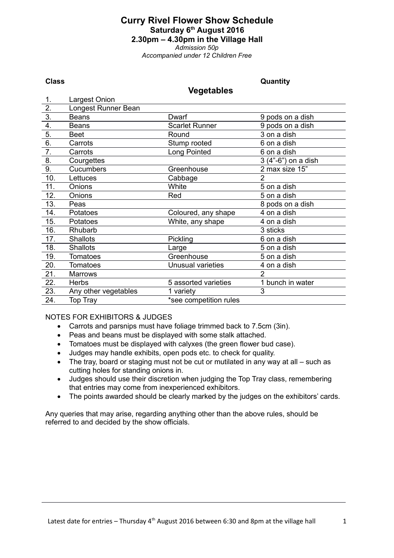# **Curry Rivel Flower Show Schedule Saturday 6th August 2016 2.30pm – 4.30pm in the Village Hall** *Admission 50p*

*Accompanied under 12 Children Free*

#### **Class Quantity**

#### **Vegetables**

| 1.               | Largest Onion        |                        |                     |
|------------------|----------------------|------------------------|---------------------|
| 2.               | Longest Runner Bean  |                        |                     |
| $\overline{3}$ . | Beans                | <b>Dwarf</b>           | 9 pods on a dish    |
| 4.               | <b>Beans</b>         | <b>Scarlet Runner</b>  | 9 pods on a dish    |
| $\overline{5}$ . | Beet                 | Round                  | 3 on a dish         |
| $\overline{6}$ . | Carrots              | Stump rooted           | 6 on a dish         |
| 7.               | Carrots              | Long Pointed           | 6 on a dish         |
| 8.               | Courgettes           |                        | 3 (4"-6") on a dish |
| 9.               | <b>Cucumbers</b>     | Greenhouse             | 2 max size 15"      |
| 10.              | Lettuces             | Cabbage                | 2                   |
| 11.              | <b>Onions</b>        | White                  | 5 on a dish         |
| 12.              | <b>Onions</b>        | Red                    | 5 on a dish         |
| 13.              | Peas                 |                        | 8 pods on a dish    |
| 14.              | Potatoes             | Coloured, any shape    | 4 on a dish         |
| 15.              | Potatoes             | White, any shape       | 4 on a dish         |
| 16.              | Rhubarb              |                        | 3 sticks            |
| 17.              | <b>Shallots</b>      | Pickling               | 6 on a dish         |
| 18.              | <b>Shallots</b>      | Large                  | 5 on a dish         |
| 19.              | <b>Tomatoes</b>      | Greenhouse             | 5 on a dish         |
| 20.              | <b>Tomatoes</b>      | Unusual varieties      | 4 on a dish         |
| 21.              | Marrows              |                        | $\overline{2}$      |
| 22.              | <b>Herbs</b>         | 5 assorted varieties   | 1 bunch in water    |
| 23.              | Any other vegetables | 1 variety              | 3                   |
| 24.              | Top Tray             | *see competition rules |                     |

NOTES FOR EXHIBITORS & JUDGES

- Carrots and parsnips must have foliage trimmed back to 7.5cm (3in).
- Peas and beans must be displayed with some stalk attached.
- Tomatoes must be displayed with calyxes (the green flower bud case).
- Judges may handle exhibits, open pods etc. to check for quality.
- The tray, board or staging must not be cut or mutilated in any way at all such as cutting holes for standing onions in.
- Judges should use their discretion when judging the Top Tray class, remembering that entries may come from inexperienced exhibitors.
- The points awarded should be clearly marked by the judges on the exhibitors' cards.

Any queries that may arise, regarding anything other than the above rules, should be referred to and decided by the show officials.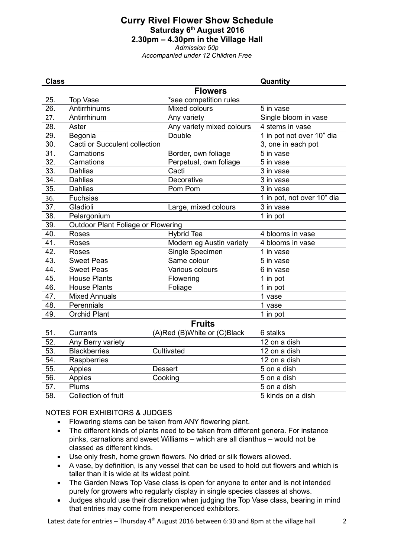# **Curry Rivel Flower Show Schedule Saturday 6th August 2016 2.30pm – 4.30pm in the Village Hall** *Admission 50p*

*Accompanied under 12 Children Free*

| <b>Class</b>  |                                      |                             | Quantity                   |  |  |  |
|---------------|--------------------------------------|-----------------------------|----------------------------|--|--|--|
|               |                                      | <b>Flowers</b>              |                            |  |  |  |
| 25.           | <b>Top Vase</b>                      | *see competition rules      |                            |  |  |  |
| 26.           | Antirrhinums                         | Mixed colours               | 5 in vase                  |  |  |  |
| 27.           | Antirrhinum                          | Any variety                 | Single bloom in vase       |  |  |  |
| 28.           | Aster                                | Any variety mixed colours   | 4 stems in vase            |  |  |  |
| 29.           | Begonia                              | Double                      | 1 in pot not over 10" dia  |  |  |  |
| 30.           | <b>Cacti or Succulent collection</b> |                             | 3, one in each pot         |  |  |  |
| 31.           | Carnations                           | Border, own foliage         | 5 in vase                  |  |  |  |
| 32.           | Carnations                           | Perpetual, own foliage      | 5 in vase                  |  |  |  |
| 33.           | <b>Dahlias</b>                       | Cacti                       | 3 in vase                  |  |  |  |
| 34.           | <b>Dahlias</b>                       | Decorative                  | 3 in vase                  |  |  |  |
| 35.           | <b>Dahlias</b>                       | Pom Pom                     | 3 in vase                  |  |  |  |
| 36.           | <b>Fuchsias</b>                      |                             | 1 in pot, not over 10" dia |  |  |  |
| 37.           | Gladioli                             | Large, mixed colours        | 3 in vase                  |  |  |  |
| 38.           | Pelargonium                          |                             | 1 in pot                   |  |  |  |
| 39.           | Outdoor Plant Foliage or Flowering   |                             |                            |  |  |  |
| 40.           | <b>Roses</b>                         | <b>Hybrid Tea</b>           | 4 blooms in vase           |  |  |  |
| 41.           | <b>Roses</b>                         | Modern eg Austin variety    | 4 blooms in vase           |  |  |  |
| 42.           | Roses                                | Single Specimen             | 1 in vase                  |  |  |  |
| 43.           | <b>Sweet Peas</b>                    | Same colour                 | 5 in vase                  |  |  |  |
| 44.           | <b>Sweet Peas</b>                    | Various colours             | 6 in vase                  |  |  |  |
| 45.           | <b>House Plants</b>                  | Flowering                   | 1 in pot                   |  |  |  |
| 46.           | <b>House Plants</b>                  | Foliage                     | 1 in pot                   |  |  |  |
| 47.           | <b>Mixed Annuals</b>                 |                             | 1 vase                     |  |  |  |
| 48.           | Perennials                           |                             | 1 vase                     |  |  |  |
| 49.           | <b>Orchid Plant</b>                  |                             | 1 in pot                   |  |  |  |
| <b>Fruits</b> |                                      |                             |                            |  |  |  |
| 51.           | Currants                             | (A)Red (B)White or (C)Black | 6 stalks                   |  |  |  |
| 52.           | Any Berry variety                    |                             | 12 on a dish               |  |  |  |
| 53.           | <b>Blackberries</b>                  | Cultivated                  | 12 on a dish               |  |  |  |
| 54.           | Raspberries                          |                             | 12 on a dish               |  |  |  |
| 55.           | Apples                               | <b>Dessert</b>              | 5 on a dish                |  |  |  |
| 56.           | Apples                               | Cooking                     | 5 on a dish                |  |  |  |
| 57.           | Plums                                |                             | 5 on a dish                |  |  |  |
| 58.           | Collection of fruit                  |                             | 5 kinds on a dish          |  |  |  |

NOTES FOR EXHIBITORS & JUDGES

- Flowering stems can be taken from ANY flowering plant.
- The different kinds of plants need to be taken from different genera. For instance pinks, carnations and sweet Williams – which are all dianthus – would not be classed as different kinds.
- Use only fresh, home grown flowers. No dried or silk flowers allowed.
- A vase, by definition, is any vessel that can be used to hold cut flowers and which is taller than it is wide at its widest point.
- The Garden News Top Vase class is open for anyone to enter and is not intended purely for growers who regularly display in single species classes at shows.
- Judges should use their discretion when judging the Top Vase class, bearing in mind that entries may come from inexperienced exhibitors.

Latest date for entries – Thursday  $4<sup>th</sup>$  August 2016 between 6:30 and 8pm at the village hall 2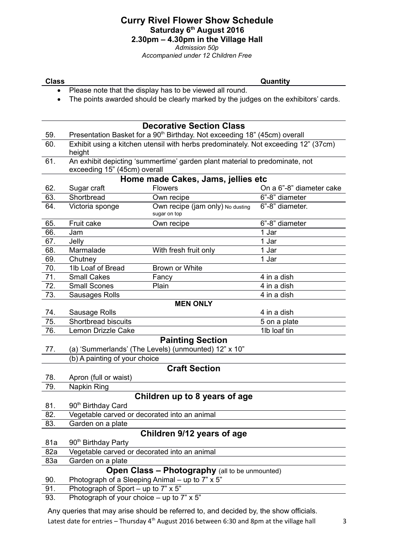## **Curry Rivel Flower Show Schedule Saturday 6th August 2016 2.30pm – 4.30pm in the Village Hall** *Admission 50p*

*Accompanied under 12 Children Free*

**Class Quantity**

- Please note that the display has to be viewed all round.
- The points awarded should be clearly marked by the judges on the exhibitors' cards.

### **Decorative Section Class** 59. Presentation Basket for a 90<sup>th</sup> Birthday. Not exceeding 18" (45cm) overall 60. Exhibit using a kitchen utensil with herbs predominately. Not exceeding 12" (37cm) height 61. An exhibit depicting 'summertime' garden plant material to predominate, not exceeding 15" (45cm) overall **Home made Cakes, Jams, jellies etc** 62. Sugar craft Flowers On a 6"-8" diameter cake 63. Shortbread **Own recipe** 6"-8" diameter 64. Victoria sponge Own recipe (jam only) No dusting sugar on top 6"-8" diameter. 65. Fruit cake Own recipe 6"-8" diameter 66. Jam 1 Jar 67. Jelly 1 Jar 68. Marmalade With fresh fruit only 1 Jar 69. Chutney 1 Jar 70. 1lb Loaf of Bread Brown or White 71. Small Cakes Fancy Fancy 4 in a dish 72. Small Scones Plain Plain 4 in a dish 73. Sausages Rolls **4** in a dish **MEN ONLY** 74. Sausage Rolls **4** in a dish 75. Shortbread biscuits 5 on a plate 76. Lemon Drizzle Cake 11b loaf tin **Painting Section** 77. (a) 'Summerlands' (The Levels) (unmounted) 12" x 10" (b) A painting of your choice **Craft Section** 78. Apron (full or waist) 79. Napkin Ring **Children up to 8 years of age** 81. 90<sup>th</sup> Birthday Card 82. Vegetable carved or decorated into an animal 83. Garden on a plate **Children 9/12 years of age** 81a 90<sup>th</sup> Birthday Party 82a Vegetable carved or decorated into an animal 83a Garden on a plate **Open Class – Photography** (all to be unmounted) 90. Photograph of a Sleeping Animal – up to 7" x 5" 91. Photograph of Sport – up to 7" x 5" 93. Photograph of your choice – up to 7" x 5"

Any queries that may arise should be referred to, and decided by, the show officials. Latest date for entries – Thursday  $4<sup>th</sup>$  August 2016 between 6:30 and 8pm at the village hall  $3<sup>3</sup>$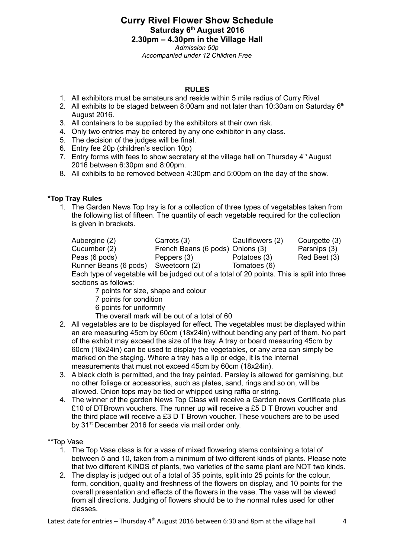**Curry Rivel Flower Show Schedule Saturday 6th August 2016 2.30pm – 4.30pm in the Village Hall** *Admission 50p Accompanied under 12 Children Free*

#### **RULES**

- 1. All exhibitors must be amateurs and reside within 5 mile radius of Curry Rivel
- 2. All exhibits to be staged between 8:00am and not later than 10:30am on Saturday  $6<sup>th</sup>$ August 2016.
- 3. All containers to be supplied by the exhibitors at their own risk.
- 4. Only two entries may be entered by any one exhibitor in any class.
- 5. The decision of the judges will be final.
- 6. Entry fee 20p (children's section 10p)
- 7. Entry forms with fees to show secretary at the village hall on Thursday  $4<sup>th</sup>$  August 2016 between 6:30pm and 8:00pm.
- 8. All exhibits to be removed between 4:30pm and 5:00pm on the day of the show.

#### **\*Top Tray Rules**

1. The Garden News Top tray is for a collection of three types of vegetables taken from the following list of fifteen. The quantity of each vegetable required for the collection is given in brackets.

| Aubergine (2)                                                                               | Carrots (3)                      | Cauliflowers (2) | Courgette (3) |
|---------------------------------------------------------------------------------------------|----------------------------------|------------------|---------------|
| Cucumber (2)                                                                                | French Beans (6 pods) Onions (3) |                  | Parsnips (3)  |
| Peas (6 pods)                                                                               | Peppers (3)                      | Potatoes (3)     | Red Beet (3)  |
| Runner Beans (6 pods)                                                                       | Sweetcorn (2)                    | Tomatoes (6)     |               |
| Each tupe of vegatable will be judged out of a total of 20 points. This is split into three |                                  |                  |               |

Each type of vegetable will be judged out of a total of 20 points. This is split into three sections as follows:

- 7 points for size, shape and colour
- 7 points for condition
- 6 points for uniformity
- The overall mark will be out of a total of 60
- 2. All vegetables are to be displayed for effect. The vegetables must be displayed within an are measuring 45cm by 60cm (18x24in) without bending any part of them. No part of the exhibit may exceed the size of the tray. A tray or board measuring 45cm by 60cm (18x24in) can be used to display the vegetables, or any area can simply be marked on the staging. Where a tray has a lip or edge, it is the internal measurements that must not exceed 45cm by 60cm (18x24in).
- 3. A black cloth is permitted, and the tray painted. Parsley is allowed for garnishing, but no other foliage or accessories, such as plates, sand, rings and so on, will be allowed. Onion tops may be tied or whipped using raffia or string.
- 4. The winner of the garden News Top Class will receive a Garden news Certificate plus £10 of DTBrown vouchers. The runner up will receive a £5 D T Brown voucher and the third place will receive a £3 D T Brown voucher. These vouchers are to be used by 31<sup>st</sup> December 2016 for seeds via mail order only.

#### \*\*Top Vase

- 1. The Top Vase class is for a vase of mixed flowering stems containing a total of between 5 and 10, taken from a minimum of two different kinds of plants. Please note that two different KINDS of plants, two varieties of the same plant are NOT two kinds.
- 2. The display is judged out of a total of 35 points, split into 25 points for the colour, form, condition, quality and freshness of the flowers on display, and 10 points for the overall presentation and effects of the flowers in the vase. The vase will be viewed from all directions. Judging of flowers should be to the normal rules used for other classes.

Latest date for entries – Thursday  $4<sup>th</sup>$  August 2016 between 6:30 and 8pm at the village hall  $4<sup>th</sup>$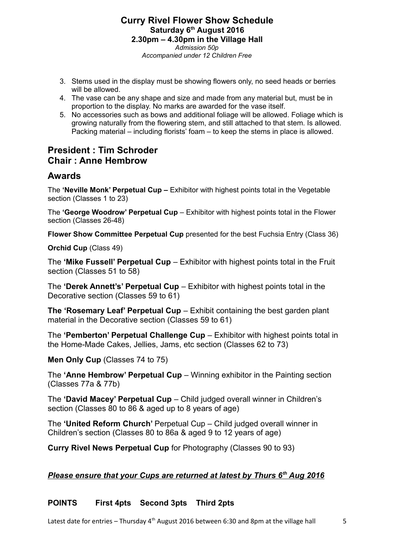#### **Curry Rivel Flower Show Schedule Saturday 6th August 2016 2.30pm – 4.30pm in the Village Hall** *Admission 50p Accompanied under 12 Children Free*

- 3. Stems used in the display must be showing flowers only, no seed heads or berries will be allowed.
- 4. The vase can be any shape and size and made from any material but, must be in proportion to the display. No marks are awarded for the vase itself.
- 5. No accessories such as bows and additional foliage will be allowed. Foliage which is growing naturally from the flowering stem, and still attached to that stem. Is allowed. Packing material – including florists' foam – to keep the stems in place is allowed.

# **President : Tim Schroder Chair : Anne Hembrow**

# **Awards**

The **'Neville Monk' Perpetual Cup –** Exhibitor with highest points total in the Vegetable section (Classes 1 to 23)

The **'George Woodrow' Perpetual Cup** – Exhibitor with highest points total in the Flower section (Classes 26-48)

**Flower Show Committee Perpetual Cup** presented for the best Fuchsia Entry (Class 36)

**Orchid Cup** (Class 49)

The **'Mike Fussell' Perpetual Cup** – Exhibitor with highest points total in the Fruit section (Classes 51 to 58)

The **'Derek Annett's' Perpetual Cup** – Exhibitor with highest points total in the Decorative section (Classes 59 to 61)

**The 'Rosemary Leaf' Perpetual Cup** – Exhibit containing the best garden plant material in the Decorative section (Classes 59 to 61)

The **'Pemberton' Perpetual Challenge Cup** – Exhibitor with highest points total in the Home-Made Cakes, Jellies, Jams, etc section (Classes 62 to 73)

**Men Only Cup** (Classes 74 to 75)

The **'Anne Hembrow' Perpetual Cup** – Winning exhibitor in the Painting section (Classes 77a & 77b)

The **'David Macey' Perpetual Cup** – Child judged overall winner in Children's section (Classes 80 to 86 & aged up to 8 years of age)

The **'United Reform Church'** Perpetual Cup – Child judged overall winner in Children's section (Classes 80 to 86a & aged 9 to 12 years of age)

**Curry Rivel News Perpetual Cup** for Photography (Classes 90 to 93)

## *Please ensure that your Cups are returned at latest by Thurs 6th Aug 2016*

## **POINTS First 4pts Second 3pts Third 2pts**

Latest date for entries – Thursday  $4<sup>th</sup>$  August 2016 between 6:30 and 8pm at the village hall  $5<sup>th</sup>$